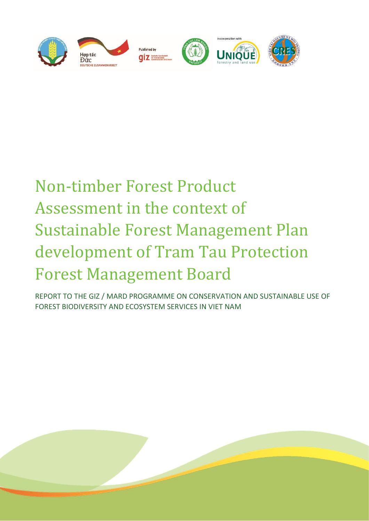

# Non-timber Forest Product Assessment in the context of Sustainable Forest Management Plan development of Tram Tau Protection Forest Management Board

REPORT TO THE GIZ / MARD PROGRAMME ON CONSERVATION AND SUSTAINABLE USE OF FOREST BIODIVERSITY AND ECOSYSTEM SERVICES IN VIET NAM

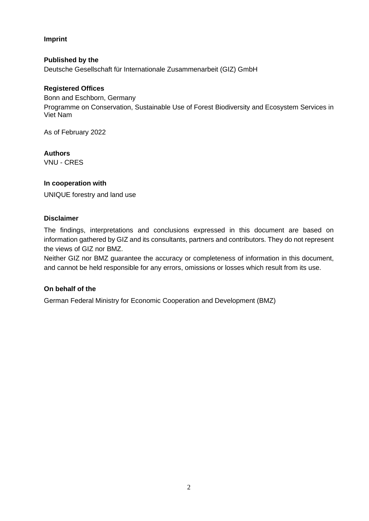**Imprint**

**Published by the** Deutsche Gesellschaft für Internationale Zusammenarbeit (GIZ) GmbH

### **Registered Offices**

Bonn and Eschborn, Germany Programme on Conservation, Sustainable Use of Forest Biodiversity and Ecosystem Services in Viet Nam

As of February 2022

#### **Authors**

VNU - CRES

#### **In cooperation with**

UNIQUE forestry and land use

#### **Disclaimer**

The findings, interpretations and conclusions expressed in this document are based on information gathered by GIZ and its consultants, partners and contributors. They do not represent the views of GIZ nor BMZ.

Neither GIZ nor BMZ guarantee the accuracy or completeness of information in this document, and cannot be held responsible for any errors, omissions or losses which result from its use.

# **On behalf of the**

German Federal Ministry for Economic Cooperation and Development (BMZ)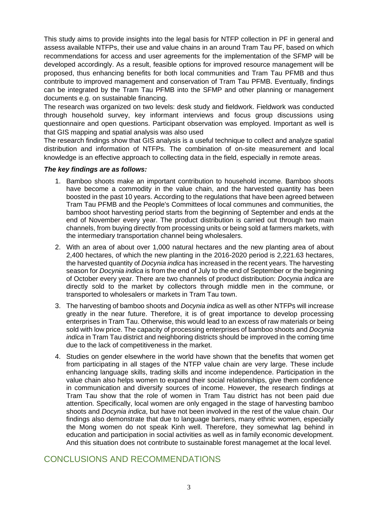This study aims to provide insights into the legal basis for NTFP collection in PF in general and assess available NTFPs, their use and value chains in an around Tram Tau PF, based on which recommendations for access and user agreements for the implementation of the SFMP will be developed accordingly. As a result, feasible options for improved resource management will be proposed, thus enhancing benefits for both local communities and Tram Tau PFMB and thus contribute to improved management and conservation of Tram Tau PFMB. Eventually, findings can be integrated by the Tram Tau PFMB into the SFMP and other planning or management documents e.g. on sustainable financing.

The research was organized on two levels: desk study and fieldwork. Fieldwork was conducted through household survey, key informant interviews and focus group discussions using questionnaire and open questions. Participant observation was employed. Important as well is that GIS mapping and spatial analysis was also used

The research findings show that GIS analysis is a useful technique to collect and analyze spatial distribution and information of NTFPs. The combination of on-site measurement and local knowledge is an effective approach to collecting data in the field, especially in remote areas.

#### *The key findings are as follows:*

- 1. Bamboo shoots make an important contribution to household income. Bamboo shoots have become a commodity in the value chain, and the harvested quantity has been boosted in the past 10 years. According to the regulations that have been agreed between Tram Tau PFMB and the People's Committees of local communes and communities, the bamboo shoot harvesting period starts from the beginning of September and ends at the end of November every year. The product distribution is carried out through two main channels, from buying directly from processing units or being sold at farmers markets, with the intermediary transportation channel being wholesalers.
- 2. With an area of about over 1,000 natural hectares and the new planting area of about 2,400 hectares, of which the new planting in the 2016-2020 period is 2,221.63 hectares, the harvested quantity of *Docynia indica* has increased in the recent years. The harvesting season for *Docynia indica* is from the end of July to the end of September or the beginning of October every year. There are two channels of product distribution: *Docynia indica* are directly sold to the market by collectors through middle men in the commune, or transported to wholesalers or markets in Tram Tau town.
- 3. The harvesting of bamboo shoots and *Docynia indica* as well as other NTFPs will increase greatly in the near future. Therefore, it is of great importance to develop processing enterprises in Tram Tau. Otherwise, this would lead to an excess of raw materials or being sold with low price. The capacity of processing enterprises of bamboo shoots and *Docynia indica* in Tram Tau district and neighboring districts should be improved in the coming time due to the lack of competitiveness in the market.
- 4. Studies on gender elsewhere in the world have shown that the benefits that women get from participating in all stages of the NTFP value chain are very large. These include enhancing language skills, trading skills and income independence. Participation in the value chain also helps women to expand their social relationships, give them confidence in communication and diversify sources of income. However, the research findings at Tram Tau show that the role of women in Tram Tau district has not been paid due attention. Specifically, local women are only engaged in the stage of harvesting bamboo shoots and *Docynia indica*, but have not been involved in the rest of the value chain. Our findings also demonstrate that due to language barriers, many ethnic women, especially the Mong women do not speak Kinh well. Therefore, they somewhat lag behind in education and participation in social activities as well as in family economic development. And this situation does not contribute to sustainable forest managemet at the local level.

# CONCLUSIONS AND RECOMMENDATIONS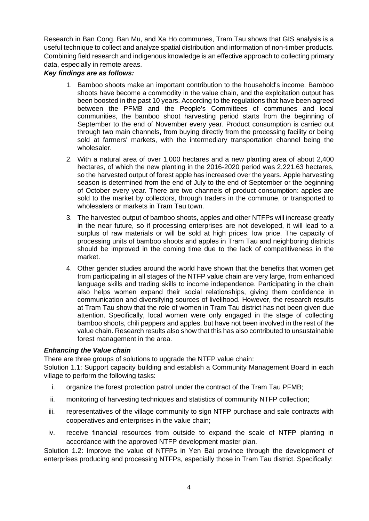Research in Ban Cong, Ban Mu, and Xa Ho communes, Tram Tau shows that GIS analysis is a useful technique to collect and analyze spatial distribution and information of non-timber products. Combining field research and indigenous knowledge is an effective approach to collecting primary data, especially in remote areas.

# *Key findings are as follows:*

- 1. Bamboo shoots make an important contribution to the household's income. Bamboo shoots have become a commodity in the value chain, and the exploitation output has been boosted in the past 10 years. According to the regulations that have been agreed between the PFMB and the People's Committees of communes and local communities, the bamboo shoot harvesting period starts from the beginning of September to the end of November every year. Product consumption is carried out through two main channels, from buying directly from the processing facility or being sold at farmers' markets, with the intermediary transportation channel being the wholesaler.
- 2. With a natural area of over 1,000 hectares and a new planting area of about 2,400 hectares, of which the new planting in the 2016-2020 period was 2,221.63 hectares, so the harvested output of forest apple has increased over the years. Apple harvesting season is determined from the end of July to the end of September or the beginning of October every year. There are two channels of product consumption: apples are sold to the market by collectors, through traders in the commune, or transported to wholesalers or markets in Tram Tau town.
- 3. The harvested output of bamboo shoots, apples and other NTFPs will increase greatly in the near future, so if processing enterprises are not developed, it will lead to a surplus of raw materials or will be sold at high prices. low price. The capacity of processing units of bamboo shoots and apples in Tram Tau and neighboring districts should be improved in the coming time due to the lack of competitiveness in the market.
- 4. Other gender studies around the world have shown that the benefits that women get from participating in all stages of the NTFP value chain are very large, from enhanced language skills and trading skills to income independence. Participating in the chain also helps women expand their social relationships, giving them confidence in communication and diversifying sources of livelihood. However, the research results at Tram Tau show that the role of women in Tram Tau district has not been given due attention. Specifically, local women were only engaged in the stage of collecting bamboo shoots, chili peppers and apples, but have not been involved in the rest of the value chain. Research results also show that this has also contributed to unsustainable forest management in the area.

#### *Enhancing the Value chain*

There are three groups of solutions to upgrade the NTFP value chain:

Solution 1.1: Support capacity building and establish a Community Management Board in each village to perform the following tasks:

- i. organize the forest protection patrol under the contract of the Tram Tau PFMB;
- ii. monitoring of harvesting techniques and statistics of community NTFP collection;
- iii. representatives of the village community to sign NTFP purchase and sale contracts with cooperatives and enterprises in the value chain;
- iv. receive financial resources from outside to expand the scale of NTFP planting in accordance with the approved NTFP development master plan.

Solution 1.2: Improve the value of NTFPs in Yen Bai province through the development of enterprises producing and processing NTFPs, especially those in Tram Tau district. Specifically: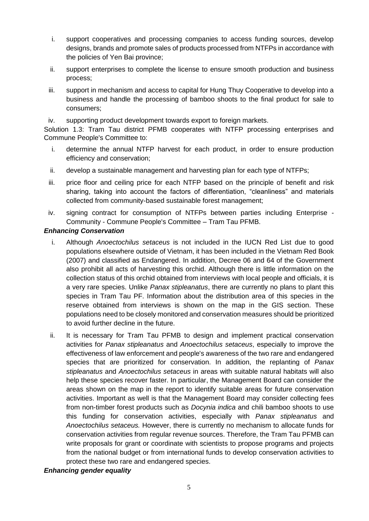- i. support cooperatives and processing companies to access funding sources, develop designs, brands and promote sales of products processed from NTFPs in accordance with the policies of Yen Bai province;
- ii. support enterprises to complete the license to ensure smooth production and business process;
- iii. support in mechanism and access to capital for Hung Thuy Cooperative to develop into a business and handle the processing of bamboo shoots to the final product for sale to consumers;

iv. supporting product development towards export to foreign markets.

Solution 1.3: Tram Tau district PFMB cooperates with NTFP processing enterprises and Commune People's Committee to:

- i. determine the annual NTFP harvest for each product, in order to ensure production efficiency and conservation;
- ii. develop a sustainable management and harvesting plan for each type of NTFPs;
- iii. price floor and ceiling price for each NTFP based on the principle of benefit and risk sharing, taking into account the factors of differentiation, "cleanliness" and materials collected from community-based sustainable forest management;
- iv. signing contract for consumption of NTFPs between parties including Enterprise Community - Commune People's Committee – Tram Tau PFMB.

#### *Enhancing Conservation*

- i. Although *Anoectochilus setaceus* is not included in the IUCN Red List due to good populations elsewhere outside of Vietnam, it has been included in the Vietnam Red Book (2007) and classified as Endangered. In addition, Decree 06 and 64 of the Government also prohibit all acts of harvesting this orchid. Although there is little information on the collection status of this orchid obtained from interviews with local people and officials, it is a very rare species. Unlike *Panax stipleanatus*, there are currently no plans to plant this species in Tram Tau PF. Information about the distribution area of this species in the reserve obtained from interviews is shown on the map in the GIS section. These populations need to be closely monitored and conservation measures should be prioritized to avoid further decline in the future.
- ii. It is necessary for Tram Tau PFMB to design and implement practical conservation activities for *Panax stipleanatus* and *Anoectochilus setaceus*, especially to improve the effectiveness of law enforcement and people's awareness of the two rare and endangered species that are prioritized for conservation. In addition, the replanting of *Panax stipleanatus* and *Anoectochilus setaceus* in areas with suitable natural habitats will also help these species recover faster. In particular, the Management Board can consider the areas shown on the map in the report to identify suitable areas for future conservation activities. Important as well is that the Management Board may consider collecting fees from non-timber forest products such as *Docynia indica* and chili bamboo shoots to use this funding for conservation activities, especially with *Panax stipleanatus* and *Anoectochilus setaceus.* However, there is currently no mechanism to allocate funds for conservation activities from regular revenue sources. Therefore, the Tram Tau PFMB can write proposals for grant or coordinate with scientists to propose programs and projects from the national budget or from international funds to develop conservation activities to protect these two rare and endangered species.

#### *Enhancing gender equality*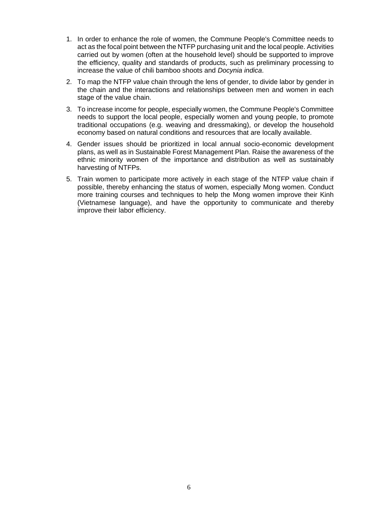- 1. In order to enhance the role of women, the Commune People's Committee needs to act as the focal point between the NTFP purchasing unit and the local people. Activities carried out by women (often at the household level) should be supported to improve the efficiency, quality and standards of products, such as preliminary processing to increase the value of chili bamboo shoots and *Docynia indica*.
- 2. To map the NTFP value chain through the lens of gender, to divide labor by gender in the chain and the interactions and relationships between men and women in each stage of the value chain.
- 3. To increase income for people, especially women, the Commune People's Committee needs to support the local people, especially women and young people, to promote traditional occupations (e.g. weaving and dressmaking), or develop the household economy based on natural conditions and resources that are locally available.
- 4. Gender issues should be prioritized in local annual socio-economic development plans, as well as in Sustainable Forest Management Plan. Raise the awareness of the ethnic minority women of the importance and distribution as well as sustainably harvesting of NTFPs.
- 5. Train women to participate more actively in each stage of the NTFP value chain if possible, thereby enhancing the status of women, especially Mong women. Conduct more training courses and techniques to help the Mong women improve their Kinh (Vietnamese language), and have the opportunity to communicate and thereby improve their labor efficiency.